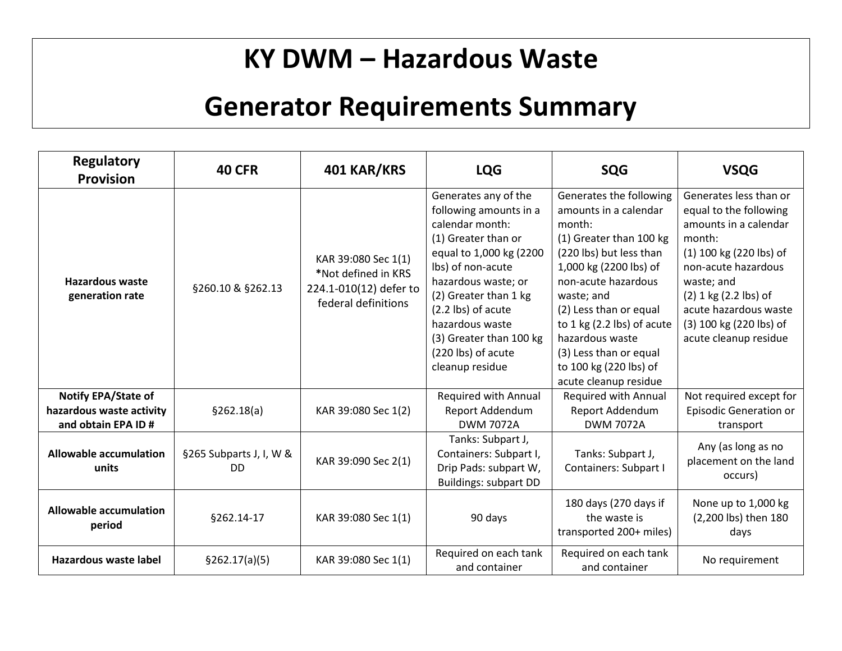## **KY DWM – Hazardous Waste**

### **Generator Requirements Summary**

| <b>Regulatory</b><br><b>Provision</b>                                  | <b>40 CFR</b>                        | 401 KAR/KRS                                                                                 | <b>LQG</b>                                                                                                                                                                                                                                                                                            | <b>SQG</b>                                                                                                                                                                                                                                                                                                                                | <b>VSQG</b>                                                                                                                                                                                                                                                   |
|------------------------------------------------------------------------|--------------------------------------|---------------------------------------------------------------------------------------------|-------------------------------------------------------------------------------------------------------------------------------------------------------------------------------------------------------------------------------------------------------------------------------------------------------|-------------------------------------------------------------------------------------------------------------------------------------------------------------------------------------------------------------------------------------------------------------------------------------------------------------------------------------------|---------------------------------------------------------------------------------------------------------------------------------------------------------------------------------------------------------------------------------------------------------------|
| <b>Hazardous waste</b><br>generation rate                              | §260.10 & §262.13                    | KAR 39:080 Sec 1(1)<br>*Not defined in KRS<br>224.1-010(12) defer to<br>federal definitions | Generates any of the<br>following amounts in a<br>calendar month:<br>(1) Greater than or<br>equal to 1,000 kg (2200<br>Ibs) of non-acute<br>hazardous waste; or<br>(2) Greater than 1 kg<br>(2.2 lbs) of acute<br>hazardous waste<br>(3) Greater than 100 kg<br>(220 lbs) of acute<br>cleanup residue | Generates the following<br>amounts in a calendar<br>month:<br>(1) Greater than 100 kg<br>(220 lbs) but less than<br>1,000 kg (2200 lbs) of<br>non-acute hazardous<br>waste; and<br>(2) Less than or equal<br>to $1$ kg (2.2 lbs) of acute<br>hazardous waste<br>(3) Less than or equal<br>to 100 kg (220 lbs) of<br>acute cleanup residue | Generates less than or<br>equal to the following<br>amounts in a calendar<br>month:<br>(1) 100 kg (220 lbs) of<br>non-acute hazardous<br>waste; and<br>$(2)$ 1 kg $(2.2$ lbs) of<br>acute hazardous waste<br>(3) 100 kg (220 lbs) of<br>acute cleanup residue |
| Notify EPA/State of<br>hazardous waste activity<br>and obtain EPA ID # | \$262.18(a)                          | KAR 39:080 Sec 1(2)                                                                         | Required with Annual<br>Report Addendum<br><b>DWM 7072A</b>                                                                                                                                                                                                                                           | <b>Required with Annual</b><br>Report Addendum<br><b>DWM 7072A</b>                                                                                                                                                                                                                                                                        | Not required except for<br><b>Episodic Generation or</b><br>transport                                                                                                                                                                                         |
| <b>Allowable accumulation</b><br>units                                 | §265 Subparts J, I, W &<br><b>DD</b> | KAR 39:090 Sec 2(1)                                                                         | Tanks: Subpart J,<br>Containers: Subpart I,<br>Drip Pads: subpart W,<br><b>Buildings: subpart DD</b>                                                                                                                                                                                                  | Tanks: Subpart J,<br>Containers: Subpart I                                                                                                                                                                                                                                                                                                | Any (as long as no<br>placement on the land<br>occurs)                                                                                                                                                                                                        |
| <b>Allowable accumulation</b><br>period                                | §262.14-17                           | KAR 39:080 Sec 1(1)                                                                         | 90 days                                                                                                                                                                                                                                                                                               | 180 days (270 days if<br>the waste is<br>transported 200+ miles)                                                                                                                                                                                                                                                                          | None up to 1,000 kg<br>(2,200 lbs) then 180<br>days                                                                                                                                                                                                           |
| <b>Hazardous waste label</b>                                           | §262.17(a)(5)                        | KAR 39:080 Sec 1(1)                                                                         | Required on each tank<br>and container                                                                                                                                                                                                                                                                | Required on each tank<br>and container                                                                                                                                                                                                                                                                                                    | No requirement                                                                                                                                                                                                                                                |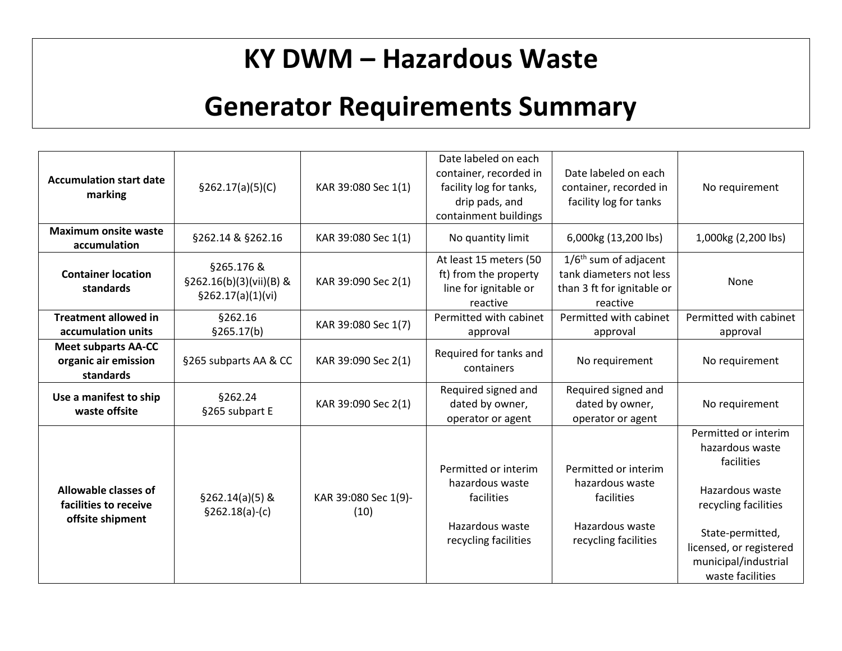## **KY DWM – Hazardous Waste**

# **Generator Requirements Summary**

| <b>Accumulation start date</b><br>marking                         | \$262.17(a)(5)(C)                                             | KAR 39:080 Sec 1(1)          | Date labeled on each<br>container, recorded in<br>facility log for tanks,<br>drip pads, and<br>containment buildings | Date labeled on each<br>container, recorded in<br>facility log for tanks                         | No requirement                                                                                                                                                                              |
|-------------------------------------------------------------------|---------------------------------------------------------------|------------------------------|----------------------------------------------------------------------------------------------------------------------|--------------------------------------------------------------------------------------------------|---------------------------------------------------------------------------------------------------------------------------------------------------------------------------------------------|
| <b>Maximum onsite waste</b><br>accumulation                       | §262.14 & §262.16                                             | KAR 39:080 Sec 1(1)          | No quantity limit                                                                                                    | 6,000kg (13,200 lbs)                                                                             | 1,000kg (2,200 lbs)                                                                                                                                                                         |
| <b>Container location</b><br>standards                            | §265.176 &<br>$$262.16(b)(3)(vii)(B)$ &<br>\$262.17(a)(1)(vi) | KAR 39:090 Sec 2(1)          | At least 15 meters (50<br>ft) from the property<br>line for ignitable or<br>reactive                                 | $1/6th$ sum of adjacent<br>tank diameters not less<br>than 3 ft for ignitable or<br>reactive     | None                                                                                                                                                                                        |
| <b>Treatment allowed in</b><br>accumulation units                 | §262.16<br>§265.17(b)                                         | KAR 39:080 Sec 1(7)          | Permitted with cabinet<br>approval                                                                                   | Permitted with cabinet<br>approval                                                               | Permitted with cabinet<br>approval                                                                                                                                                          |
| <b>Meet subparts AA-CC</b><br>organic air emission<br>standards   | §265 subparts AA & CC                                         | KAR 39:090 Sec 2(1)          | Required for tanks and<br>containers                                                                                 | No requirement                                                                                   | No requirement                                                                                                                                                                              |
| Use a manifest to ship<br>waste offsite                           | §262.24<br>§265 subpart E                                     | KAR 39:090 Sec 2(1)          | Required signed and<br>dated by owner,<br>operator or agent                                                          | Required signed and<br>dated by owner,<br>operator or agent                                      | No requirement                                                                                                                                                                              |
| Allowable classes of<br>facilities to receive<br>offsite shipment | $§262.14(a)(5)$ &<br>$§262.18(a)-(c)$                         | KAR 39:080 Sec 1(9)-<br>(10) | Permitted or interim<br>hazardous waste<br>facilities<br>Hazardous waste<br>recycling facilities                     | Permitted or interim<br>hazardous waste<br>facilities<br>Hazardous waste<br>recycling facilities | Permitted or interim<br>hazardous waste<br>facilities<br>Hazardous waste<br>recycling facilities<br>State-permitted,<br>licensed, or registered<br>municipal/industrial<br>waste facilities |